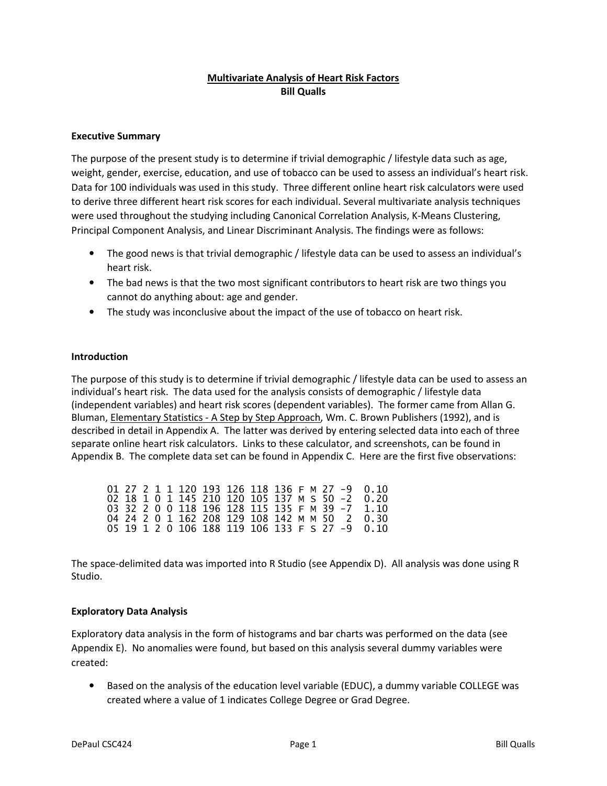### **Multivariate Analysis of Heart Risk Factors Bill Qualls**

### **Executive Summary**

The purpose of the present study is to determine if trivial demographic / lifestyle data such as age, weight, gender, exercise, education, and use of tobacco can be used to assess an individual's heart risk. Data for 100 individuals was used in this study. Three different online heart risk calculators were used to derive three different heart risk scores for each individual. Several multivariate analysis techniques were used throughout the studying including Canonical Correlation Analysis, K-Means Clustering, Principal Component Analysis, and Linear Discriminant Analysis. The findings were as follows:

- The good news is that trivial demographic / lifestyle data can be used to assess an individual's heart risk.
- The bad news is that the two most significant contributors to heart risk are two things you cannot do anything about: age and gender.
- The study was inconclusive about the impact of the use of tobacco on heart risk.

### **Introduction**

The purpose of this study is to determine if trivial demographic / lifestyle data can be used to assess an individual's heart risk. The data used for the analysis consists of demographic / lifestyle data (independent variables) and heart risk scores (dependent variables). The former came from Allan G. Bluman, Elementary Statistics - A Step by Step Approach, Wm. C. Brown Publishers (1992), and is described in detail in Appendix A. The latter was derived by entering selected data into each of three separate online heart risk calculators. Links to these calculator, and screenshots, can be found in Appendix B. The complete data set can be found in Appendix C. Here are the first five observations:

|  |  |  |  |  |  |  | 01 27 2 1 1 120 193 126 118 136 F M 27 -9 0.10                             |
|--|--|--|--|--|--|--|----------------------------------------------------------------------------|
|  |  |  |  |  |  |  | 02 18 1 0 1 145 210 120 105 137 M S 50 -2 0.20                             |
|  |  |  |  |  |  |  | 03 32 2 0 0 118 196 128 115 135 F M 39 -7 1.10                             |
|  |  |  |  |  |  |  | 04 24 2 0 1 162 208 129 108 142 M M 50 2 0.30                              |
|  |  |  |  |  |  |  | 05   19   1   2   0   106   188   119   106   133   F   S   27   -9   0.10 |

The space-delimited data was imported into R Studio (see Appendix D). All analysis was done using R Studio.

### **Exploratory Data Analysis**

Exploratory data analysis in the form of histograms and bar charts was performed on the data (see Appendix E). No anomalies were found, but based on this analysis several dummy variables were created:

• Based on the analysis of the education level variable (EDUC), a dummy variable COLLEGE was created where a value of 1 indicates College Degree or Grad Degree.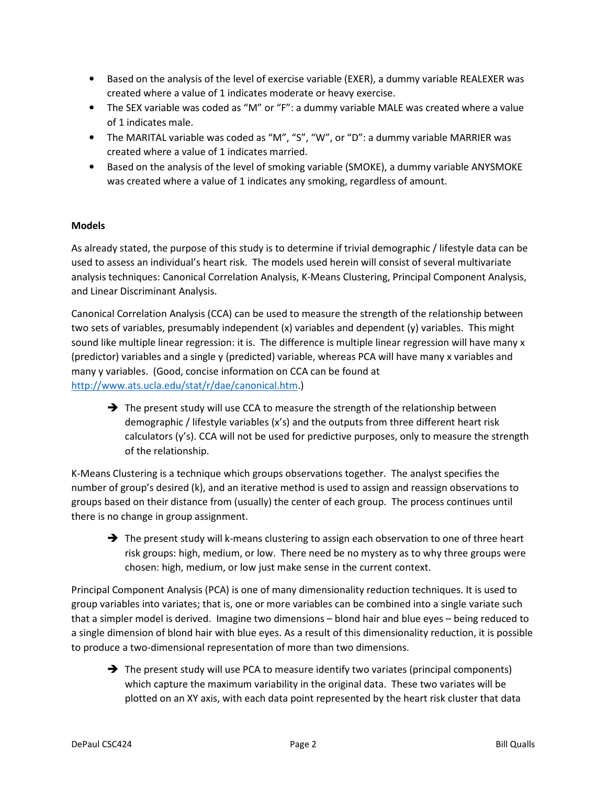- Based on the analysis of the level of exercise variable (EXER), a dummy variable REALEXER was created where a value of 1 indicates moderate or heavy exercise.
- The SEX variable was coded as "M" or "F": a dummy variable MALE was created where a value of 1 indicates male.
- The MARITAL variable was coded as "M", "S", "W", or "D": a dummy variable MARRIER was created where a value of 1 indicates married.
- Based on the analysis of the level of smoking variable (SMOKE), a dummy variable ANYSMOKE was created where a value of 1 indicates any smoking, regardless of amount.

### **Models**

As already stated, the purpose of this study is to determine if trivial demographic / lifestyle data can be used to assess an individual's heart risk. The models used herein will consist of several multivariate analysis techniques: Canonical Correlation Analysis, K-Means Clustering, Principal Component Analysis, and Linear Discriminant Analysis.

Canonical Correlation Analysis (CCA) can be used to measure the strength of the relationship between two sets of variables, presumably independent (x) variables and dependent (y) variables. This might sound like multiple linear regression: it is. The difference is multiple linear regression will have many x (predictor) variables and a single y (predicted) variable, whereas PCA will have many x variables and many y variables. (Good, concise information on CCA can be found at http://www.ats.ucla.edu/stat/r/dae/canonical.htm.)

 $\rightarrow$  The present study will use CCA to measure the strength of the relationship between demographic / lifestyle variables (x's) and the outputs from three different heart risk calculators (y's). CCA will not be used for predictive purposes, only to measure the strength of the relationship.

K-Means Clustering is a technique which groups observations together. The analyst specifies the number of group's desired (k), and an iterative method is used to assign and reassign observations to groups based on their distance from (usually) the center of each group. The process continues until there is no change in group assignment.

 $\rightarrow$  The present study will k-means clustering to assign each observation to one of three heart risk groups: high, medium, or low. There need be no mystery as to why three groups were chosen: high, medium, or low just make sense in the current context.

Principal Component Analysis (PCA) is one of many dimensionality reduction techniques. It is used to group variables into variates; that is, one or more variables can be combined into a single variate such that a simpler model is derived. Imagine two dimensions – blond hair and blue eyes – being reduced to a single dimension of blond hair with blue eyes. As a result of this dimensionality reduction, it is possible to produce a two-dimensional representation of more than two dimensions.

 $\rightarrow$  The present study will use PCA to measure identify two variates (principal components) which capture the maximum variability in the original data. These two variates will be plotted on an XY axis, with each data point represented by the heart risk cluster that data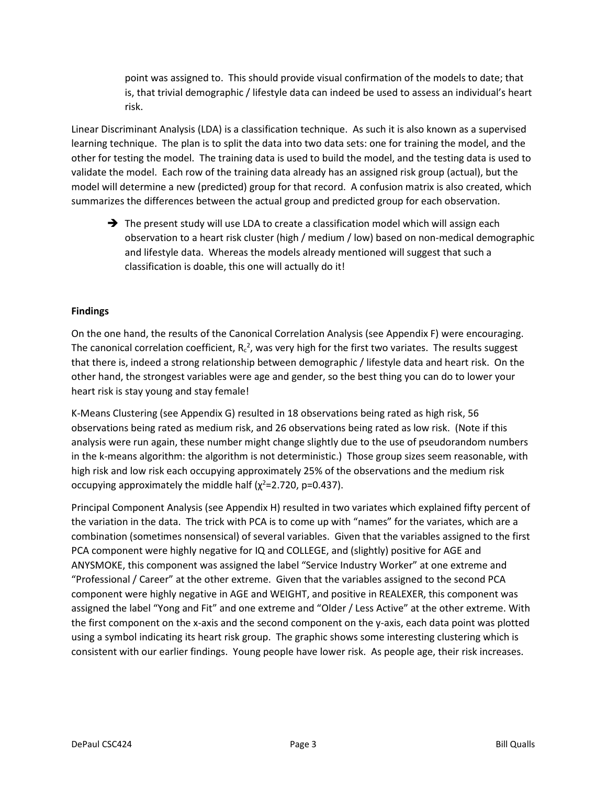point was assigned to. This should provide visual confirmation of the models to date; that is, that trivial demographic / lifestyle data can indeed be used to assess an individual's heart risk.

Linear Discriminant Analysis (LDA) is a classification technique. As such it is also known as a supervised learning technique. The plan is to split the data into two data sets: one for training the model, and the other for testing the model. The training data is used to build the model, and the testing data is used to validate the model. Each row of the training data already has an assigned risk group (actual), but the model will determine a new (predicted) group for that record. A confusion matrix is also created, which summarizes the differences between the actual group and predicted group for each observation.

 $\rightarrow$  The present study will use LDA to create a classification model which will assign each observation to a heart risk cluster (high / medium / low) based on non-medical demographic and lifestyle data. Whereas the models already mentioned will suggest that such a classification is doable, this one will actually do it!

### **Findings**

On the one hand, the results of the Canonical Correlation Analysis (see Appendix F) were encouraging. The canonical correlation coefficient,  $R_c^2$ , was very high for the first two variates. The results suggest that there is, indeed a strong relationship between demographic / lifestyle data and heart risk. On the other hand, the strongest variables were age and gender, so the best thing you can do to lower your heart risk is stay young and stay female!

K-Means Clustering (see Appendix G) resulted in 18 observations being rated as high risk, 56 observations being rated as medium risk, and 26 observations being rated as low risk. (Note if this analysis were run again, these number might change slightly due to the use of pseudorandom numbers in the k-means algorithm: the algorithm is not deterministic.) Those group sizes seem reasonable, with high risk and low risk each occupying approximately 25% of the observations and the medium risk occupying approximately the middle half ( $\chi^2$ =2.720, p=0.437).

Principal Component Analysis (see Appendix H) resulted in two variates which explained fifty percent of the variation in the data. The trick with PCA is to come up with "names" for the variates, which are a combination (sometimes nonsensical) of several variables. Given that the variables assigned to the first PCA component were highly negative for IQ and COLLEGE, and (slightly) positive for AGE and ANYSMOKE, this component was assigned the label "Service Industry Worker" at one extreme and "Professional / Career" at the other extreme. Given that the variables assigned to the second PCA component were highly negative in AGE and WEIGHT, and positive in REALEXER, this component was assigned the label "Yong and Fit" and one extreme and "Older / Less Active" at the other extreme. With the first component on the x-axis and the second component on the y-axis, each data point was plotted using a symbol indicating its heart risk group. The graphic shows some interesting clustering which is consistent with our earlier findings. Young people have lower risk. As people age, their risk increases.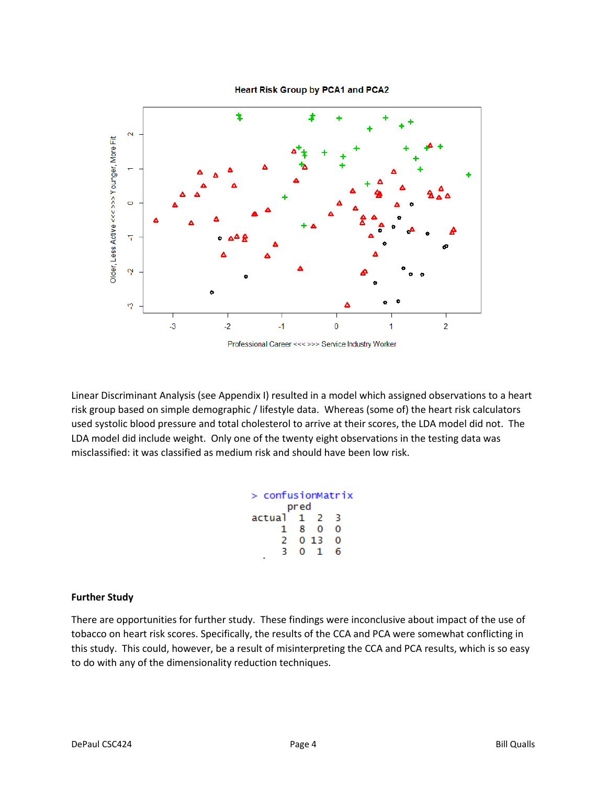



Linear Discriminant Analysis (see Appendix I) resulted in a model which assigned observations to a heart risk group based on simple demographic / lifestyle data. Whereas (some of) the heart risk calculators used systolic blood pressure and total cholesterol to arrive at their scores, the LDA model did not. The LDA model did include weight. Only one of the twenty eight observations in the testing data was misclassified: it was classified as medium risk and should have been low risk.

| > confusionMatrix<br>pred |    |       |   |  |  |  |  |
|---------------------------|----|-------|---|--|--|--|--|
|                           |    |       |   |  |  |  |  |
| actual 1 2                |    |       | R |  |  |  |  |
| ı.                        |    | 80    | Ω |  |  |  |  |
| 2                         |    | 0, 13 | o |  |  |  |  |
| к                         | O. | -1    | б |  |  |  |  |

### **Further Study**

There are opportunities for further study. These findings were inconclusive about impact of the use of tobacco on heart risk scores. Specifically, the results of the CCA and PCA were somewhat conflicting in this study. This could, however, be a result of misinterpreting the CCA and PCA results, which is so easy to do with any of the dimensionality reduction techniques.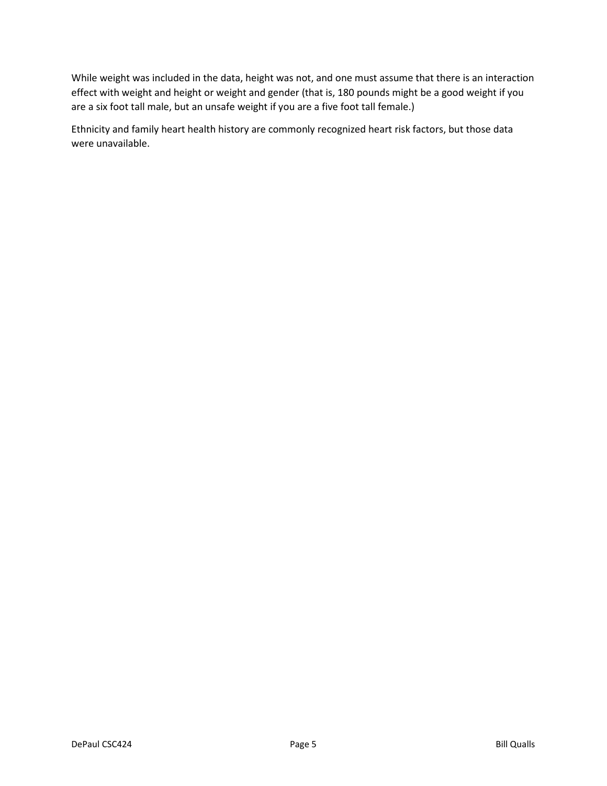While weight was included in the data, height was not, and one must assume that there is an interaction effect with weight and height or weight and gender (that is, 180 pounds might be a good weight if you are a six foot tall male, but an unsafe weight if you are a five foot tall female.)

Ethnicity and family heart health history are commonly recognized heart risk factors, but those data were unavailable.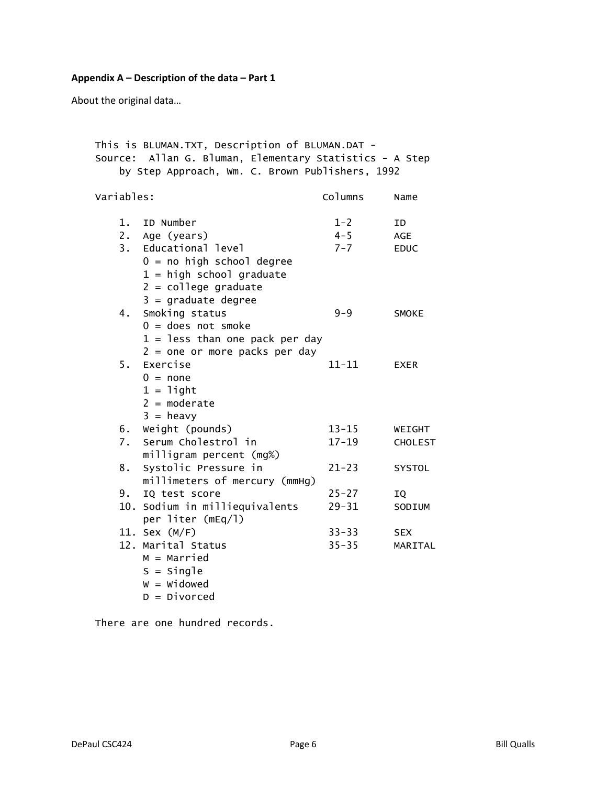# **Appendix A – Description of the data – Part 1**

About the original data…

|            | by Step Approach, Wm. C. Brown Publishers, 1992 |           |                |
|------------|-------------------------------------------------|-----------|----------------|
| Variables: |                                                 | Columns   | Name           |
| 1.         | ID Number                                       | $1 - 2$   | ID             |
| 2.         | Age (years)                                     | $4 - 5$   | <b>AGE</b>     |
| 3.         | Educational level                               | $7 - 7$   | <b>EDUC</b>    |
|            | $0 = no$ high school degree                     |           |                |
|            | $1 = high school graduate$                      |           |                |
|            | $2 = college graduate$                          |           |                |
|            | $3 =$ graduate degree                           |           |                |
| 4.         | Smoking status                                  | $9 - 9$   | SMOKE          |
|            | $0 =$ does not smoke                            |           |                |
|            | $1 =$ less than one pack per day                |           |                |
|            | $2 =$ one or more packs per day                 |           |                |
| 5.         | Exercise                                        | $11 - 11$ | <b>EXER</b>    |
|            | $0 = none$                                      |           |                |
|            | $1 =$ light                                     |           |                |
|            | $2 = moderate$                                  |           |                |
|            | $3 = heavy$                                     |           |                |
|            | 6. Weight (pounds)                              | $13 - 15$ | WEIGHT         |
| 7.         | Serum Cholestrol in                             | $17 - 19$ | <b>CHOLEST</b> |
|            | milligram percent (mg%)                         |           |                |
| 8.         | Systolic Pressure in                            | $21 - 23$ | SYSTOL         |
|            | millimeters of mercury (mmHg)                   |           |                |
| 9.         | IQ test score                                   | $25 - 27$ | IQ             |
|            | 10. Sodium in milliequivalents                  | $29 - 31$ | SODIUM         |
|            | per liter (mEq/l)                               |           |                |
|            | 11. Sex (M/F)                                   | $33 - 33$ | <b>SEX</b>     |
|            | 12. Marital Status                              | $35 - 35$ | MARITAL        |
|            | $M =$ Married                                   |           |                |
|            | $S =$ Single                                    |           |                |
|            | $W = Widowed$                                   |           |                |
|            | $D = Divorced$                                  |           |                |

There are one hundred records.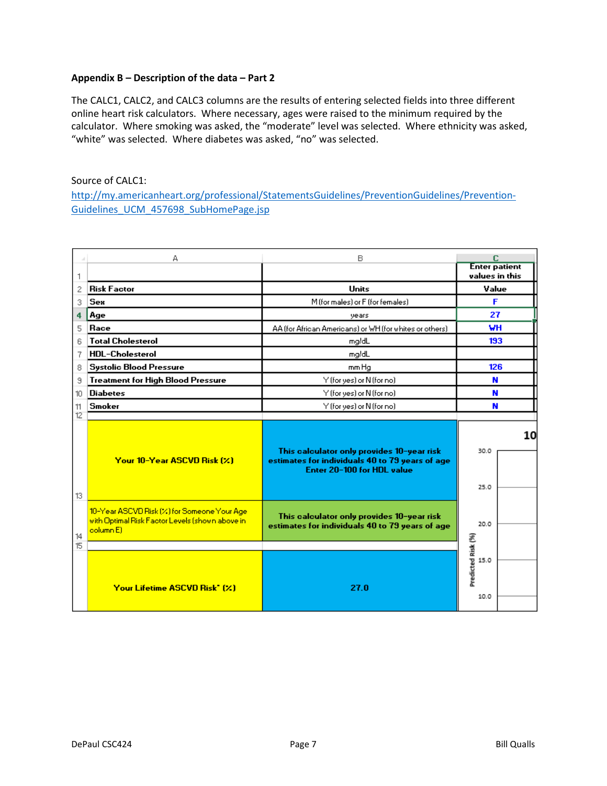### **Appendix B – Description of the data – Part 2**

The CALC1, CALC2, and CALC3 columns are the results of entering selected fields into three different online heart risk calculators. Where necessary, ages were raised to the minimum required by the calculator. Where smoking was asked, the "moderate" level was selected. Where ethnicity was asked, "white" was selected. Where diabetes was asked, "no" was selected.

### Source of CALC1:

http://my.americanheart.org/professional/StatementsGuidelines/PreventionGuidelines/Prevention-Guidelines\_UCM\_457698\_SubHomePage.jsp

|                | А                                                                                                                       | B                                                                                                                           | c                                      |  |  |
|----------------|-------------------------------------------------------------------------------------------------------------------------|-----------------------------------------------------------------------------------------------------------------------------|----------------------------------------|--|--|
| 1              |                                                                                                                         |                                                                                                                             | <b>Enter patient</b><br>values in this |  |  |
| 2              | <b>Risk Factor</b>                                                                                                      | <b>Units</b>                                                                                                                | Value                                  |  |  |
| 3              | <b>Sex</b>                                                                                                              | M (for males) or F (for females)                                                                                            | F                                      |  |  |
| 4              | Age                                                                                                                     | years                                                                                                                       | 27                                     |  |  |
| 5              | Race                                                                                                                    | AA (for African Americans) or WH (for whites or others)                                                                     | MН                                     |  |  |
| 6              | <b>Total Cholesterol</b>                                                                                                | mg/dL                                                                                                                       | 193                                    |  |  |
| 7              | <b>HDL-Cholesterol</b>                                                                                                  | mg/dL                                                                                                                       |                                        |  |  |
| 8              | <b>Systolic Blood Pressure</b>                                                                                          | mm Hg                                                                                                                       | 126                                    |  |  |
| Э              | <b>Treatment for High Blood Pressure</b>                                                                                | Y (for yes) or N (for no)                                                                                                   | N                                      |  |  |
| 10             | <b>Diabetes</b>                                                                                                         | Y (for yes) or N (for no)                                                                                                   | N                                      |  |  |
| 11             | Smoker                                                                                                                  | Y (for yes) or N (for no)                                                                                                   |                                        |  |  |
| 12             |                                                                                                                         |                                                                                                                             |                                        |  |  |
|                | Your 10-Year ASCVD Risk (%)                                                                                             | This calculator only provides 10-year risk<br>estimates for individuals 40 to 79 years of age<br>Enter 20-100 for HDL value | 10<br>30.0<br>25.0                     |  |  |
| 13<br>14<br>15 | 10-Year ASCVD Risk (%) for Someone Your Age<br>with Optimal Risk Factor Levels (shown above in<br>column <sub>E</sub> ) | This calculator only provides 10-year risk<br>estimates for individuals 40 to 79 years of age                               | 20.0                                   |  |  |
|                |                                                                                                                         |                                                                                                                             |                                        |  |  |
|                | Your Lifetime ASCVD Risk* (%)                                                                                           | 27.0                                                                                                                        | Predicted Risk (%)<br>15.0<br>10.0     |  |  |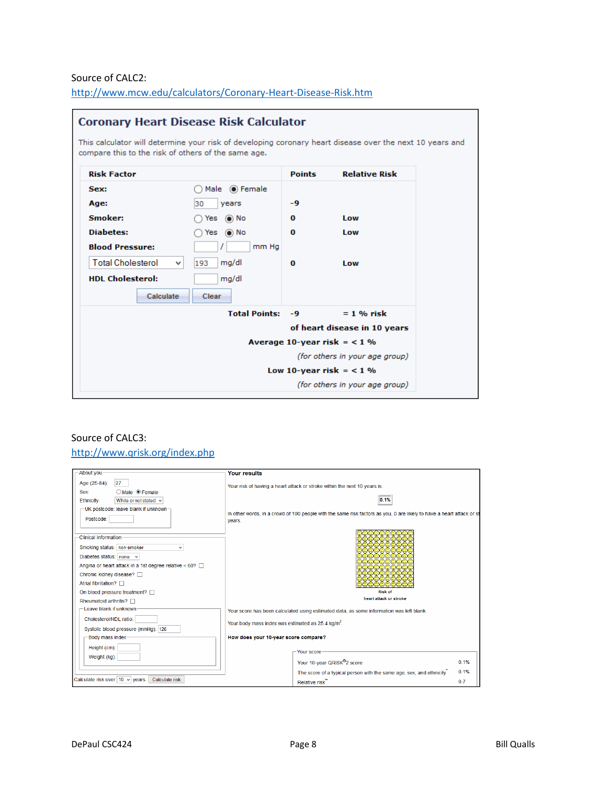## Source of CALC2:

| <b>Risk Factor</b>       |                              | <b>Points</b> | <b>Relative Risk</b>           |
|--------------------------|------------------------------|---------------|--------------------------------|
| Sex:                     | Male (a) Female              |               |                                |
| Age:                     | 30<br>years                  | -9            |                                |
| Smoker:                  | Yes $\circledcirc$ No        | $\Omega$      | Low                            |
| <b>Diabetes:</b>         | $\odot$ No<br>Yes            | $\Omega$      | Low                            |
| <b>Blood Pressure:</b>   | mm Ha                        |               |                                |
| <b>Total Cholesterol</b> | mg/dl<br>$\mathbf{v}$<br>193 | $\Omega$      | Low                            |
| <b>HDL Cholesterol:</b>  | mg/dl                        |               |                                |
| Calculate                | Clear                        |               |                                |
|                          | <b>Total Points:</b>         | $-9$          | $= 1$ % risk                   |
|                          |                              |               | of heart disease in 10 years   |
|                          |                              |               | Average 10-year risk $=$ < 1 % |
|                          |                              |               | (for others in your age group) |
|                          |                              |               | Low 10-year risk $=$ < 1 %     |
|                          |                              |               | (for others in your age group) |

http://www.mcw.edu/calculators/Coronary-Heart-Disease-Risk.htm

## Source of CALC3: http://www.qrisk.org/index.php

| About you                                                                                                                                                                                                                                                           | <b>Your results</b>                                                                                                                  |
|---------------------------------------------------------------------------------------------------------------------------------------------------------------------------------------------------------------------------------------------------------------------|--------------------------------------------------------------------------------------------------------------------------------------|
| 27<br>Age (25-84):<br>O Male <sup>O</sup> Female<br>Sex:<br>White or not stated v<br>Ethnicity:                                                                                                                                                                     | Your risk of having a heart attack or stroke within the next 10 years is:<br>0.1%                                                    |
| -UK postcode: leave blank if unknown-<br>Postcode:                                                                                                                                                                                                                  | In other words, in a crowd of 100 people with the same risk factors as you, 0 are likely to have a heart attack or st<br>years.      |
| Clinical information<br>Smoking status: non-smoker<br>Diabetes status: none $\vee$<br>Angina or heart attack in a 1st degree relative $< 60$ ?<br>Chronic kidney disease? □<br>Atrial fibrillation?<br>On blood pressure treatment?<br>Rheumatoid arthritis? $\Box$ | u0000000<br>9000000000<br>)00000000C<br>DOOOOOOOC<br>වටටටටටට<br>,000000000<br>)OOOOOOOOO<br><b>Risk of</b><br>heart attack or stroke |
| Leave blank if unknown                                                                                                                                                                                                                                              | Your score has been calculated using estimated data, as some information was left blank.                                             |
| Cholesterol/HDL ratio:<br>Systolic blood pressure (mmHq): 126                                                                                                                                                                                                       | Your body mass index was estimated as 25.4 kg/m <sup>2</sup> .                                                                       |
| Body mass index-                                                                                                                                                                                                                                                    | How does your 10-year score compare?                                                                                                 |
| Height (cm):<br>Weight (kg):                                                                                                                                                                                                                                        | Your score<br>Your 10-year QRISK®2 score<br>0.1%<br>0.1%                                                                             |
| Calculate risk over $10 \sqrt{year}$ .<br>Calculate risk                                                                                                                                                                                                            | The score of a typical person with the same age, sex, and ethnicity<br>0.7<br>Relative risk                                          |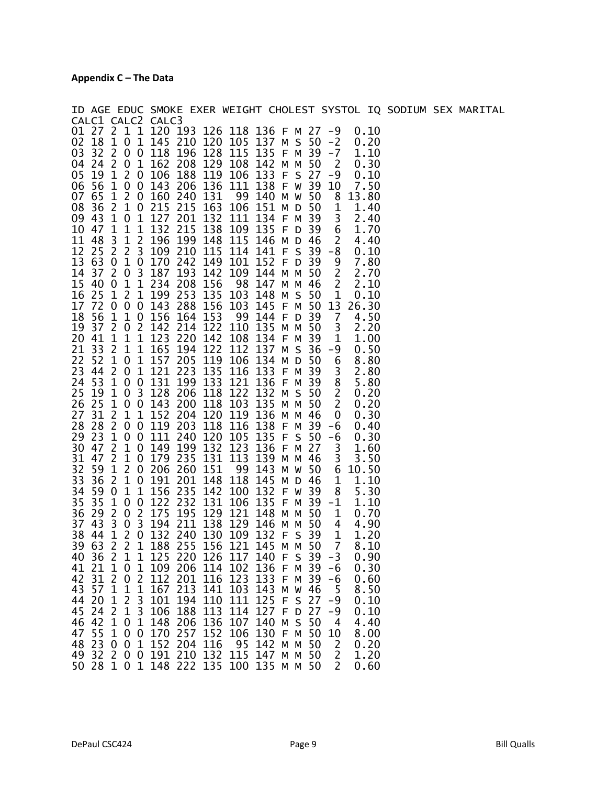|                                                                       | ID AGE EDUC SMOKE EXER WEIGHT CHOLEST SYSTOL IQ SODIUM SEX MARITAL                                                                         |  |
|-----------------------------------------------------------------------|--------------------------------------------------------------------------------------------------------------------------------------------|--|
| CALC1 CALC2 CALC3                                                     |                                                                                                                                            |  |
|                                                                       | 01 27 2 1 1 120 193 126 118 136 F M 27<br>$-9$<br>0.10                                                                                     |  |
| 02<br>18<br>$\mathbf{1}$<br>03<br>32<br>$\overline{2}$<br>$\mathbf 0$ | 0 1 145 210<br>120 105<br>137 M S 50<br>$-2$<br>0.20<br>128 115<br>135 F M<br>0 118<br>196<br>-39<br>$-7$<br>1.10                          |  |
|                                                                       | 04 24 2 0 1 162 208 129 108<br>142 M M<br>50<br>$\overline{\phantom{a}}$<br>0.30                                                           |  |
| 05 19 1 2 0 106                                                       | 133 F S 27<br>188 119 106<br>-9<br>0.10                                                                                                    |  |
|                                                                       | 06 56 1 0 0 143 206 136 111<br>138 F W 39<br>7.50<br>10                                                                                    |  |
| 07 65 1 2 0 160 240 131                                               | 99 140 M W 50<br>8<br>13.80                                                                                                                |  |
|                                                                       | 08 36 2 1 0 215 215 163 106 151 M D 50<br>1<br>1.40                                                                                        |  |
| 09 43 1<br>$\bf{0}$                                                   | 1 127 201 132<br>134 F M 39<br>111<br>3<br>2.40                                                                                            |  |
| 10 47 1                                                               | $\begin{array}{ccc} 1 & 1 & 132 & 215 \\ 1 & 2 & 196 & 199 \end{array}$<br>138 109 135 F D 39<br>6<br>1.70                                 |  |
| $\overline{\mathbf{3}}$<br>11 48                                      | 199 148 115<br>$\overline{2}$<br>146 M D 46<br>4.40                                                                                        |  |
| 12 25 2                                                               | 2 3 109 210<br>115 114<br>141 F S<br>$39 - 8$<br>0.10                                                                                      |  |
| 14 37 2<br>03187                                                      | 13 63 0 1 0 170 242 149 101<br>152 F D 39<br>$\overline{9}$<br>7.80<br>$\overline{\phantom{a}}$<br>193<br>142<br>109<br>144 M M 50<br>2.70 |  |
| 15<br>1 1 2 3 4<br>40 0                                               | $\overline{2}$<br>208<br>156<br>98<br>147 M M<br>46<br>2.10                                                                                |  |
| 16 25 1 2 1 199 253                                                   | $\mathbf{1}$<br>135 103<br>148 M S 50<br>0.10                                                                                              |  |
|                                                                       | 17 72 0 0 0 143 288 156 103<br>145 F M 50<br>26.30<br>13                                                                                   |  |
| 18                                                                    | 56 1 1 0 156 164 153<br>- 99<br>144 F D 39<br>$\overline{7}$<br>4.50                                                                       |  |
|                                                                       | 19 37 2 0 2 142 214 122 110<br>135 M M 50<br>3<br>2.20                                                                                     |  |
| 20 41 1 1 1 1 1 23 220 142                                            | 108<br>134 F M 39<br>$\mathbf 1$<br>1.00                                                                                                   |  |
| 21 33<br>$\overline{2}$<br>22                                         | 1 1 165 194<br>122<br>137 M S<br>112<br>36<br>0.50<br>-9<br>119 106<br>134 M D<br>50<br>8.80                                               |  |
| 52 1<br>23 44 2 0 1 121 223                                           | 0 1 157 205<br>6<br>135<br>$\overline{\mathbf{3}}$<br>133 F M 39<br>116<br>2.80                                                            |  |
|                                                                       | 24 53 1 0 0 131 199 133 121<br>136 F M 39<br>8<br>5.80                                                                                     |  |
|                                                                       | $\overline{2}$<br>25 19 1 0 3 128 206 118 122<br>132 M S 50<br>0.20                                                                        |  |
|                                                                       | 26 25 1 0 0 143 200 118 103<br>135 M M 50<br>$\overline{2}$<br>0.20                                                                        |  |
| 27<br>31 2<br>1 1 1 5 2                                               | 136 M M<br>204 120 119<br>46<br>0.30<br>0                                                                                                  |  |
|                                                                       | 28 28 2 0 0 119 203 118 116<br>138 F M 39<br>$-6$<br>0.40                                                                                  |  |
| 30 47 2                                                               | 29 23 1 0 0 111 240 120 105<br>135 F S 50<br>$-6$<br>0.30<br>1 0 149 199 132 123<br>136 F M 27<br>1.60                                     |  |
|                                                                       | 3<br>31 47 2 1 0 179 235 131 113<br>3<br>139 M M 46<br>3.50                                                                                |  |
| 32 59 1 2 0 206 260                                                   | 151<br>99<br>143<br>M W 50<br>6<br>10.50                                                                                                   |  |
| 33<br>36 <sub>2</sub>                                                 | 1 0 191 201<br>148<br>118<br>145 M D 46<br>$\mathbf 1$<br>1.10                                                                             |  |
| 34 59 0                                                               | 1 1 1 56 2 35<br>142 100<br>132 F W 39<br>8<br>5.30                                                                                        |  |
| $\mathbf{1}$<br>35<br>35<br>0 0 122                                   | 232<br>131 106<br>135 F M 39 -1<br>1.10                                                                                                    |  |
| 29 2<br>36<br>$\overline{0}$                                          | 2 175<br>195 129 121<br>148 M M 50<br>$\mathbf{1}$<br>0.70                                                                                 |  |
| 37 43<br>38                                                           | 3 0 3 194 211 138 129<br>146 M M<br>50<br>4<br>4.90<br>1 2 0 132 240 130                                                                   |  |
| 44<br>39 63<br>$\overline{2}$<br>$\mathbf{1}$<br>$\overline{2}$       | 109 132 F S 39<br>$\mathbf 1$<br>1.20<br>188 255 156 121<br>7<br>145 M M 50<br>8.10                                                        |  |
| 40 36 2 1                                                             | 1 125 220 126 117 140 F S 39 -3<br>0.90                                                                                                    |  |
| $\mathbf{1}$<br>211<br>41<br>0                                        | 109 206 114 102<br>136 F M 39<br>-6<br>0.30                                                                                                |  |
| 31 <sub>2</sub><br>42<br>$\overline{0}$                               | 2 112 201 116 123<br>133 F M<br>-39<br>$-6$<br>0.60                                                                                        |  |
| 43 57 1                                                               | 1 1 167 213 141 103<br>143 M W<br>46<br>5<br>8.50                                                                                          |  |
| 44<br>20<br>$\mathbf 1$<br>2<br>3                                     | 101<br>194<br>110<br>111<br>125<br>F S<br>27<br>0.10<br>-9                                                                                 |  |
| 45<br>$\overline{2}$<br>3<br>24<br>$\mathbf 1$<br>$\mathbf{1}$        | 106 188<br>113<br>114<br>127 F D<br>27<br>-9<br>0.10<br>148 206                                                                            |  |
| 46<br>42 1 0<br>1 <sub>0</sub><br>55<br>47                            | 136 107<br>140<br>$\mathsf{S}$<br>50<br>4.40<br>M<br>4<br>0 170 257 152<br>106<br>130 F M<br>-50<br>10<br>8.00                             |  |
| 23 0 0<br>48                                                          | 1 152 204 116<br>95<br>142 M M<br>$\overline{2}$<br>0.20<br>50                                                                             |  |
| 49 32 2 0                                                             | 0 191 210 132 115<br>147 M M 50<br>$\overline{2}$<br>1.20                                                                                  |  |
|                                                                       | 50 28 1 0 1 148 222 135 100 135 M M 50<br>$\mathbf{2}$<br>0.60                                                                             |  |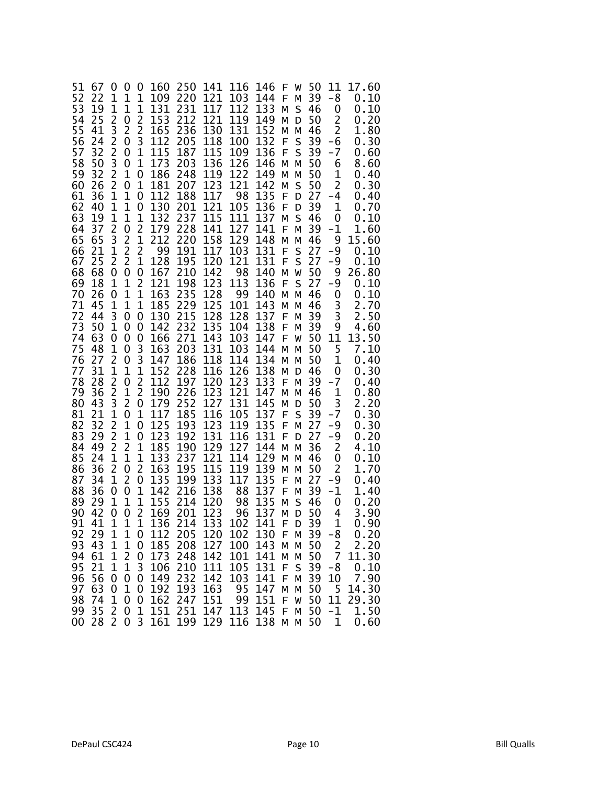| 51<br>52<br>53<br>54<br>55<br>56<br>57<br>58<br>59<br>60<br>61<br>62<br>63<br>64<br>65<br>66<br>67<br>68<br>69<br>70<br>71<br>72<br>73<br>74<br>75<br>76<br>77<br>78<br>79<br>80<br>81<br>82<br>83<br>84<br>85<br>86<br>87<br>88<br>89<br>90<br>91<br>92<br>93<br>94 | 67<br>22<br>19<br>25<br>41<br>24<br>32<br>50<br>32<br>26<br>36<br>40<br>19<br>37<br>65<br>21<br>25<br>68<br>18<br>26<br>45<br>44<br>50<br>63<br>48<br>27<br>31<br>28<br>36<br>43<br>21<br>32<br>29<br>49<br>24<br>36<br>34<br>36<br>29<br>42<br>41<br>29<br>43<br>61<br>21 | 0<br>1<br>1<br>$\overline{c}$<br>3<br>2<br>2<br>3<br>2<br>2<br>1<br>1<br>1<br>2<br>3<br>1<br>2<br>0<br>1<br>0<br>1<br>3<br>1<br>0<br>1<br>2<br>1<br>$\overline{c}$<br>2<br>3<br>1<br>2<br>2<br>2<br>1<br>2<br>1<br>0<br>1<br>0<br>$\mathbf{1}$<br>$\mathbf{1}$<br>1<br>1<br>1 | 0<br>1<br>1<br>0<br>$\overline{c}$<br>0<br>0<br>0<br>1<br>0<br>$\mathbf 1$<br>1<br>1<br>0<br>2<br>$\overline{c}$<br>$\overline{2}$<br>0<br>1<br>1<br>1<br>0<br>0<br>0<br>0<br>0<br>$\mathbf 1$<br>0<br>$\mathbf{1}$<br>2<br>0<br>1<br>1<br>$\overline{c}$<br>1<br>0<br>2<br>0<br>1<br>0<br>1<br>$\mathbf 1$<br>1 | 0<br>1<br>1<br>$\overline{2}$<br>2<br>3<br>1<br>1<br>0<br>1<br>0<br>0<br>1<br>2<br>1<br>$\overline{2}$<br>$\mathbf 1$<br>0<br>2<br>1<br>1<br>0<br>0<br>0<br>3<br>3<br>1<br>$\overline{2}$<br>2<br>0<br>1<br>0<br>0<br>$\mathbf 1$<br>1<br>2<br>0<br>1<br>1<br>2<br>$\mathbf{1}$<br>0<br>0<br>0 | 160<br>109<br>131<br>153<br>165<br>112<br>115<br>173<br>186<br>181<br>112<br>130<br>132<br>179<br>212<br>99<br>128<br>167<br>121<br>163<br>185<br>130<br>142<br>166<br>163<br>147<br>152<br>112<br>190<br>179<br>117<br>125<br>123<br>185<br>133<br>163<br>135<br>142<br>155<br>169<br>136<br>112<br>185<br>173 | 250<br>220<br>231<br>212<br>236<br>205<br>187<br>203<br>248<br>207<br>188<br>201<br>237<br>228<br>220<br>191<br>195<br>210<br>198<br>235<br>229<br>215<br>232<br>271<br>203<br>186<br>228<br>197<br>226<br>252<br>185<br>193<br>192<br>190<br>237<br>195<br>199<br>216<br>214<br>201<br>214<br>205<br>208<br>248 | 141<br>121<br>117<br>121<br>130<br>118<br>115<br>136<br>119<br>123<br>117<br>121<br>115<br>141<br>158<br>117<br>120<br>142<br>123<br>128<br>125<br>128<br>135<br>143<br>131<br>118<br>116<br>120<br>123<br>127<br>116<br>123<br>131<br>129<br>121<br>115<br>133<br>138<br>120<br>123<br>133<br>120<br>127<br>142 | 116<br>103<br>112<br>119<br>131<br>100<br>109<br>126<br>122<br>121<br>98<br>105<br>111<br>127<br>129<br>103<br>121<br>98<br>113<br>99<br>101<br>128<br>104<br>103<br>103<br>114<br>126<br>123<br>121<br>131<br>105<br>119<br>116<br>127<br>114<br>119<br>117<br>88<br>98<br>96<br>102<br>102<br>100<br>101 | 146<br>144<br>133<br>149<br>152<br>132<br>136<br>146<br>149<br>142<br>135<br>136<br>137<br>141<br>148<br>131<br>131<br>140<br>136<br>140<br>143<br>137<br>138<br>147<br>144<br>134<br>138<br>133<br>147<br>145<br>137<br>135<br>131<br>144<br>129<br>139<br>135<br>137<br>135<br>137<br>141<br>130<br>143<br>141 | F<br>F<br>м<br>м<br>Μ<br>F<br>F<br>м<br>м<br>м<br>F<br>F<br>м<br>F<br>м<br>F<br>F<br>м<br>F<br>м<br>м<br>F<br>F<br>F<br>м<br>м<br>м<br>F<br>м<br>м<br>F<br>F<br>F<br>м<br>м<br>м<br>F<br>F<br>м<br>Μ<br>F.<br>F<br>Μ<br>Μ | W<br>Μ<br>S<br>D<br>Μ<br>S<br>S<br>м<br>м<br>S<br>D<br>D<br>S<br>м<br>Μ<br>S<br>S<br>W<br>S<br>м<br>м<br>м<br>м<br>W<br>м<br>м<br>D<br>Μ<br>м<br>D<br>S<br>Μ<br>D<br>м<br>м<br>м<br>м<br>Μ<br>S<br>D<br>D<br>М<br>M<br>M | 50<br>39<br>46<br>50<br>46<br>39<br>39<br>50<br>50<br>50<br>27<br>39<br>46<br>39<br>46<br>27<br>27<br>50<br>27<br>46<br>46<br>39<br>39<br>50<br>50<br>50<br>46<br>39<br>46<br>50<br>39<br>27<br>27<br>36<br>46<br>50<br>27<br>39<br>46<br>50<br>39<br>39<br>50<br>50 | 11<br>-8<br>0<br>$\overline{c}$<br>$\overline{2}$<br>-6<br>-7<br>6<br>1<br>2<br>-4<br>1<br>0<br>-1<br>9<br>-9<br>-9<br>9<br>-9<br>0<br>3<br>3<br>9<br>11<br>5<br>1<br>0<br>$-7$<br>1<br>3<br>$-7$<br>-9<br>-9<br>2<br>0<br>2<br>-9<br>-1<br>0<br>4<br>$\mathbf{1}$<br>$-8$<br>$\overline{2}$<br>$\overline{7}$ | 17.60<br>0.10<br>0.10<br>0.20<br>1.80<br>0.30<br>0.60<br>8.60<br>0.40<br>0.30<br>0.40<br>0.70<br>0.10<br>1.60<br>15.60<br>0.10<br>0.10<br>26.80<br>0.10<br>0.10<br>2.70<br>2.50<br>4.60<br>13.50<br>7.10<br>0.40<br>0.30<br>0.40<br>0.80<br>2.20<br>0.30<br>0.30<br>0.20<br>4.10<br>0.10<br>1.70<br>0.40<br>1.40<br>0.20<br>3.90<br>0.90<br>0.20<br>2.20<br>11.30 |
|----------------------------------------------------------------------------------------------------------------------------------------------------------------------------------------------------------------------------------------------------------------------|----------------------------------------------------------------------------------------------------------------------------------------------------------------------------------------------------------------------------------------------------------------------------|-------------------------------------------------------------------------------------------------------------------------------------------------------------------------------------------------------------------------------------------------------------------------------|------------------------------------------------------------------------------------------------------------------------------------------------------------------------------------------------------------------------------------------------------------------------------------------------------------------|------------------------------------------------------------------------------------------------------------------------------------------------------------------------------------------------------------------------------------------------------------------------------------------------|-----------------------------------------------------------------------------------------------------------------------------------------------------------------------------------------------------------------------------------------------------------------------------------------------------------------|------------------------------------------------------------------------------------------------------------------------------------------------------------------------------------------------------------------------------------------------------------------------------------------------------------------|------------------------------------------------------------------------------------------------------------------------------------------------------------------------------------------------------------------------------------------------------------------------------------------------------------------|------------------------------------------------------------------------------------------------------------------------------------------------------------------------------------------------------------------------------------------------------------------------------------------------------------|------------------------------------------------------------------------------------------------------------------------------------------------------------------------------------------------------------------------------------------------------------------------------------------------------------------|---------------------------------------------------------------------------------------------------------------------------------------------------------------------------------------------------------------------------|--------------------------------------------------------------------------------------------------------------------------------------------------------------------------------------------------------------------------|----------------------------------------------------------------------------------------------------------------------------------------------------------------------------------------------------------------------------------------------------------------------|----------------------------------------------------------------------------------------------------------------------------------------------------------------------------------------------------------------------------------------------------------------------------------------------------------------|-------------------------------------------------------------------------------------------------------------------------------------------------------------------------------------------------------------------------------------------------------------------------------------------------------------------------------------------------------------------|
| 95                                                                                                                                                                                                                                                                   |                                                                                                                                                                                                                                                                            |                                                                                                                                                                                                                                                                               | $\frac{2}{1}$                                                                                                                                                                                                                                                                                                    | 3                                                                                                                                                                                                                                                                                              | 106                                                                                                                                                                                                                                                                                                             | 210                                                                                                                                                                                                                                                                                                              | 111                                                                                                                                                                                                                                                                                                              | 105                                                                                                                                                                                                                                                                                                        | 131                                                                                                                                                                                                                                                                                                              | F                                                                                                                                                                                                                         | S                                                                                                                                                                                                                        | 39                                                                                                                                                                                                                                                                   | $-8$                                                                                                                                                                                                                                                                                                           |                                                                                                                                                                                                                                                                                                                                                                   |
| 96<br>97<br>98<br>99<br>00                                                                                                                                                                                                                                           | 56<br>63<br>74<br>35<br>28                                                                                                                                                                                                                                                 | $\boldsymbol{0}$<br>0<br>1<br>2<br>2                                                                                                                                                                                                                                          | $\pmb{0}$<br>$\mathbf 1$<br>0<br>0<br>$\Omega$                                                                                                                                                                                                                                                                   | 0<br>0<br>0<br>1<br>3                                                                                                                                                                                                                                                                          | 149<br>192<br>162<br>151<br>161                                                                                                                                                                                                                                                                                 | 232<br>193<br>247<br>251<br>199                                                                                                                                                                                                                                                                                  | 142<br>163<br>151<br>147<br>129                                                                                                                                                                                                                                                                                  | 103<br>95<br>99<br>113<br>116                                                                                                                                                                                                                                                                              | 141<br>147<br>151<br>145<br>138                                                                                                                                                                                                                                                                                  | F<br>М<br>F<br>F<br>М                                                                                                                                                                                                     | M<br>M<br>W<br>Μ<br>M                                                                                                                                                                                                    | 39<br>50<br>50<br>50<br>50                                                                                                                                                                                                                                           | 10<br>5<br>11<br>$-1$<br>$\mathbf 1$                                                                                                                                                                                                                                                                           | $0.10$<br>7.90<br>14.30<br>29.30<br>1.50<br>0.60                                                                                                                                                                                                                                                                                                                  |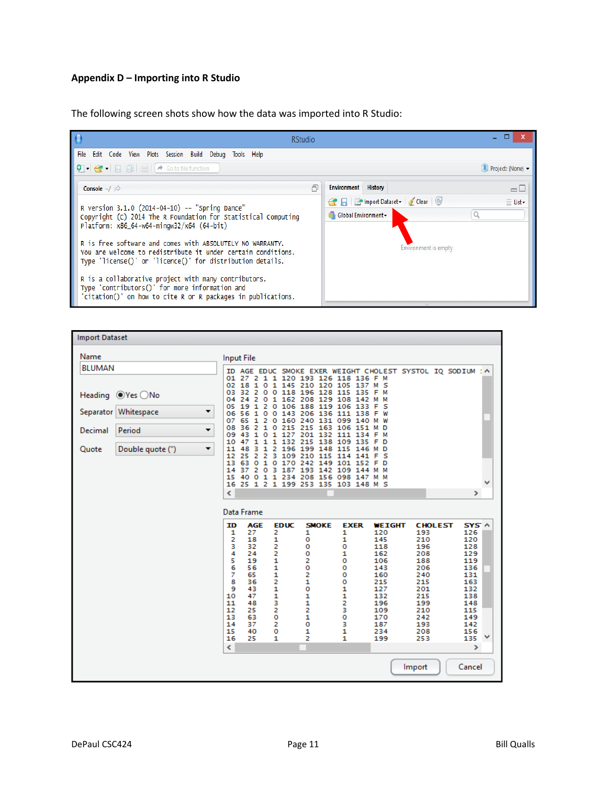# **Appendix D – Importing into R Studio**

The following screen shots show how the data was imported into R Studio:

| <b>RStudio</b>                                                                                                                                                                         |                                                      |
|----------------------------------------------------------------------------------------------------------------------------------------------------------------------------------------|------------------------------------------------------|
| Edit Code View Plots Session Build Debug Tools Help<br>File                                                                                                                            |                                                      |
| $\bigcirc$ $\bigcirc$ $\bigcirc$ $\bigcirc$ $\bigcirc$ $\bigcirc$ $\bigcirc$ $\bigcirc$ $\bigcirc$ $\bigcirc$ $\bigcirc$ $\bigcirc$ $\bigcirc$ file/function                           | R Project: (None) -                                  |
| Console $\sim$ / $\approx$                                                                                                                                                             | $=$ $\Box$<br><b>Environment</b><br><b>History</b>   |
| R version 3.1.0 (2014-04-10) -- "Spring Dance"                                                                                                                                         | Gear   Holmport Dataset v Clear   G<br>$\equiv$ List |
| Copyright (C) 2014 The R Foundation for Statistical Computing                                                                                                                          | Global Environment -                                 |
| Platform: x86_64-w64-mingw32/x64 (64-bit)                                                                                                                                              |                                                      |
| R is free software and comes with ABSOLUTELY NO WARRANTY.<br>You are welcome to redistribute it under certain conditions.<br>Type 'license()' or 'licence()' for distribution details. | Environment is empty                                 |
| R is a collaborative project with many contributors.<br>Type 'contributors()' for more information and<br>'citation()' on how to cite R or R packages in publications.                 |                                                      |

| <b>Import Dataset</b>                                                                                                 |                                                                                                                                                                                                                                                                                                                                                                                                                                                                                                                                                                                                                                                                                                                                                                                                                                                                                                                                                                                                                              |
|-----------------------------------------------------------------------------------------------------------------------|------------------------------------------------------------------------------------------------------------------------------------------------------------------------------------------------------------------------------------------------------------------------------------------------------------------------------------------------------------------------------------------------------------------------------------------------------------------------------------------------------------------------------------------------------------------------------------------------------------------------------------------------------------------------------------------------------------------------------------------------------------------------------------------------------------------------------------------------------------------------------------------------------------------------------------------------------------------------------------------------------------------------------|
| Name                                                                                                                  | <b>Input File</b>                                                                                                                                                                                                                                                                                                                                                                                                                                                                                                                                                                                                                                                                                                                                                                                                                                                                                                                                                                                                            |
| <b>BLUMAN</b>                                                                                                         | AGE EDUC SMOKE EXER WEIGHT CHOLEST SYSTOL IQ SODIUM : A<br>ID                                                                                                                                                                                                                                                                                                                                                                                                                                                                                                                                                                                                                                                                                                                                                                                                                                                                                                                                                                |
| Heading <sup>●</sup> Yes ○No<br>Separator Whitespace<br>▼<br>Period<br>Decimal<br>▼<br>Double quote (")<br>▼<br>Quote | 01<br>27<br>1 1 120 193 126 118 136 F M<br>2<br>145 210 120 105<br>02<br>18<br>1<br>137<br>$\circ$<br>1<br>мs<br>32<br>2<br>118 196 128 115 135<br>03<br>$\circ$<br>$\circ$<br>F M<br>2<br>162 208 129 108<br>04<br>24<br>142<br>o<br>1<br>м<br>19<br>106 188 119 106 133<br>05<br>1<br>2<br>$\circ$<br>- 5<br>F.<br>56<br>143 206 136 111<br>06<br>1<br>138<br>o<br>o<br>F<br>W<br>65<br>1<br>160 240 131 099 140<br>07<br>2<br>$\circ$<br>W<br>м<br>2<br>215 215 163 106 151<br>08<br>36<br>1<br>٥<br>м<br>D<br>43<br>127 201 132 111 134<br>09<br>1<br>o<br>1.<br>F<br>м<br>1<br>132 215<br>10<br>47<br>1<br>138 109 135<br>1<br>F<br>D<br>з<br>48<br>196 199 148 115 146<br>11<br>1<br>2<br>M D<br>2<br>25<br>2<br>з<br>109 210 115 114<br>12<br>141<br>s<br>F<br>13<br>63<br>o<br>$\mathbf{1}$<br>170 242 149 101 152<br>$\circ$<br>F D<br>2<br>14<br>37<br>0 <sup>3</sup><br>187 193 142 109<br>144<br>M M<br>0 1 1 234 208 156 098 147 M M<br>15<br>40<br>25 1 2 1 199 253 135 103 148 M S<br>16<br>∢<br>$\mathbf{r}$ |
|                                                                                                                       | Data Frame                                                                                                                                                                                                                                                                                                                                                                                                                                                                                                                                                                                                                                                                                                                                                                                                                                                                                                                                                                                                                   |
|                                                                                                                       | <b>AGE</b><br><b>EDUC</b><br><b>SMOKE</b><br><b>EXER</b><br>SYS A<br>ID<br><b>WEIGHT</b><br><b>CHOLEST</b><br>27<br>2<br>1<br>1<br>1<br>120<br>193<br>126<br>2<br>18<br>$\frac{1}{2}$<br>1<br>о<br>145<br>210<br>120<br>з<br>32<br>o<br>о<br>118<br>196<br>128<br>4<br>2<br>1<br>24<br>o<br>1<br>162<br>129<br>208<br>$\frac{5}{6}$<br>2<br>19<br>o<br>106<br>119<br>188<br>1<br>0<br>56<br>о<br>143<br>136<br>206<br>7<br>$\frac{1}{2}$<br>2<br>65<br>о<br>160<br>131<br>240<br>8<br>1<br>36<br>о<br>215<br>163<br>215<br>1<br>o<br>9<br>43<br>1<br>127<br>201<br>132<br>$\frac{1}{3}$<br>10<br>1<br>1<br>132<br>47<br>215<br>138<br>2<br>1<br>11<br>48<br>196<br>199<br>148<br>2<br>2<br>з<br>12<br>25<br>109<br>210<br>115<br>0<br>1<br>0<br>13<br>63<br>170<br>149<br>242<br>2<br>o<br>з<br>14<br>37<br>187<br>193<br>142<br>1<br>1<br>15<br>40<br>o<br>234<br>208<br>156<br>٧<br>2<br>16<br>25<br>1<br>1<br>199<br>253<br>135<br>$\rightarrow$<br>$\overline{\phantom{a}}$                                              |
|                                                                                                                       | Cancel<br>Import                                                                                                                                                                                                                                                                                                                                                                                                                                                                                                                                                                                                                                                                                                                                                                                                                                                                                                                                                                                                             |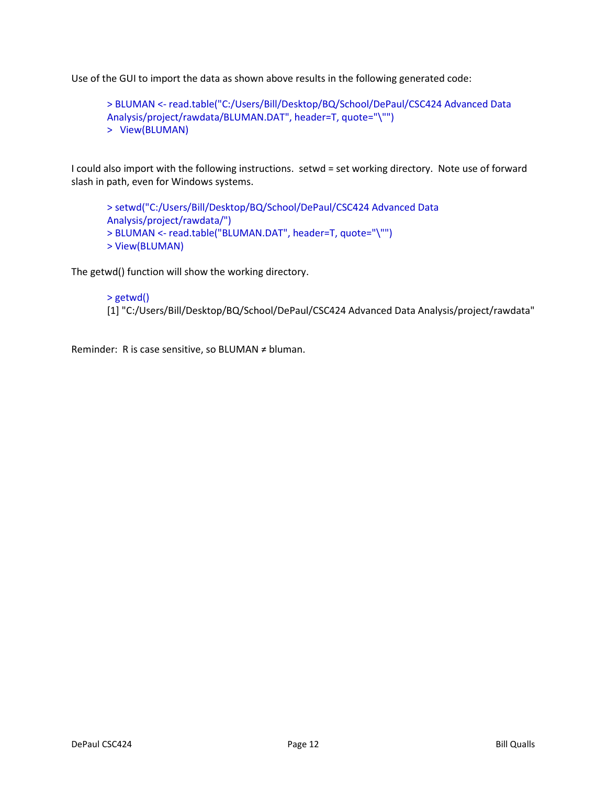Use of the GUI to import the data as shown above results in the following generated code:

> BLUMAN <- read.table("C:/Users/Bill/Desktop/BQ/School/DePaul/CSC424 Advanced Data Analysis/project/rawdata/BLUMAN.DAT", header=T, quote="\"") > View(BLUMAN)

I could also import with the following instructions. setwd = set working directory. Note use of forward slash in path, even for Windows systems.

> setwd("C:/Users/Bill/Desktop/BQ/School/DePaul/CSC424 Advanced Data Analysis/project/rawdata/") > BLUMAN <- read.table("BLUMAN.DAT", header=T, quote="\"") > View(BLUMAN)

The getwd() function will show the working directory.

> getwd() [1] "C:/Users/Bill/Desktop/BQ/School/DePaul/CSC424 Advanced Data Analysis/project/rawdata"

Reminder: R is case sensitive, so BLUMAN ≠ bluman.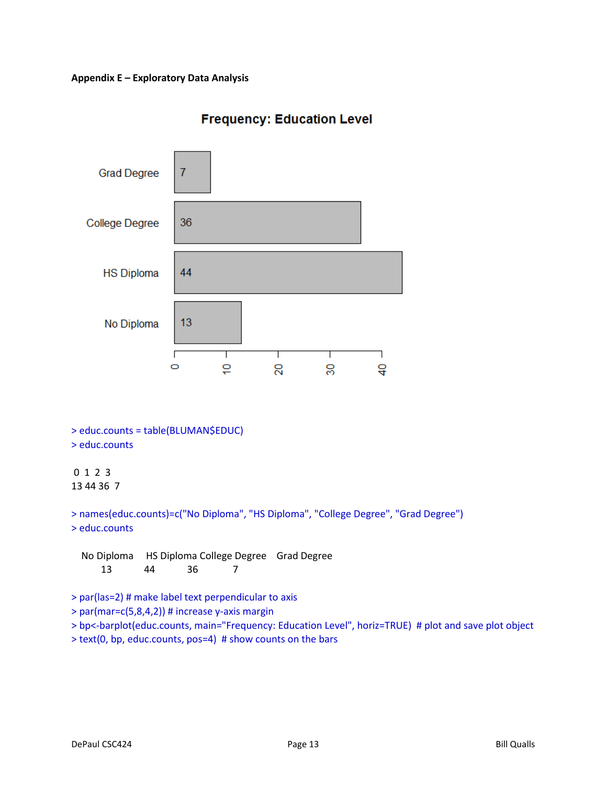

# **Frequency: Education Level**

```
> educ.counts = table(BLUMAN$EDUC) 
> educ.counts
```
## 0 1 2 3 13 44 36 7

> names(educ.counts)=c("No Diploma", "HS Diploma", "College Degree", "Grad Degree") > educ.counts

 No Diploma HS Diploma College Degree Grad Degree 13 44 36 7

> par(las=2) # make label text perpendicular to axis

 $>$  par(mar=c(5,8,4,2)) # increase y-axis margin

> bp<-barplot(educ.counts, main="Frequency: Education Level", horiz=TRUE) # plot and save plot object

> text(0, bp, educ.counts, pos=4) # show counts on the bars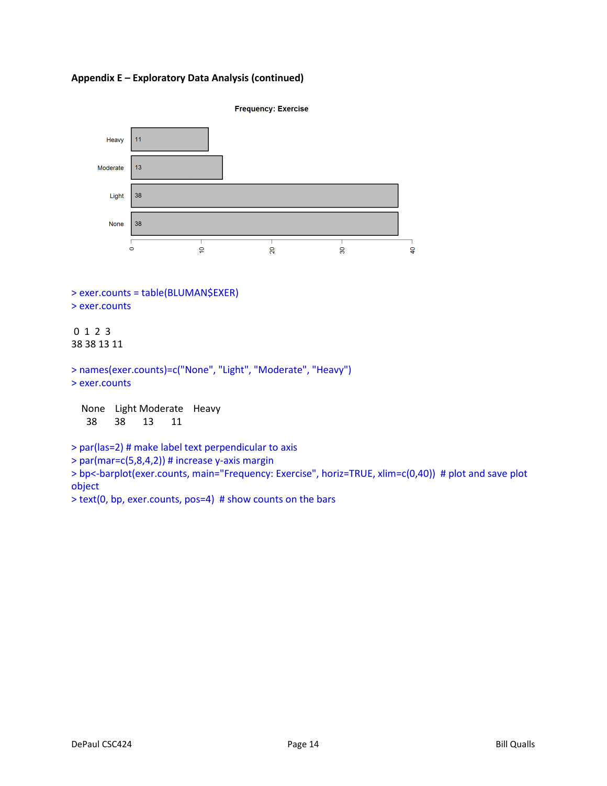

> exer.counts = table(BLUMAN\$EXER) > exer.counts

### 0 1 2 3 38 38 13 11

```
> names(exer.counts)=c("None", "Light", "Moderate", "Heavy") 
> exer.counts
```
 None Light Moderate Heavy 38 38 13 11

> par(las=2) # make label text perpendicular to axis

```
> par(mar=c(5,8,4,2)) # increase y-axis margin
```
> bp<-barplot(exer.counts, main="Frequency: Exercise", horiz=TRUE, xlim=c(0,40)) # plot and save plot object

> text(0, bp, exer.counts, pos=4) # show counts on the bars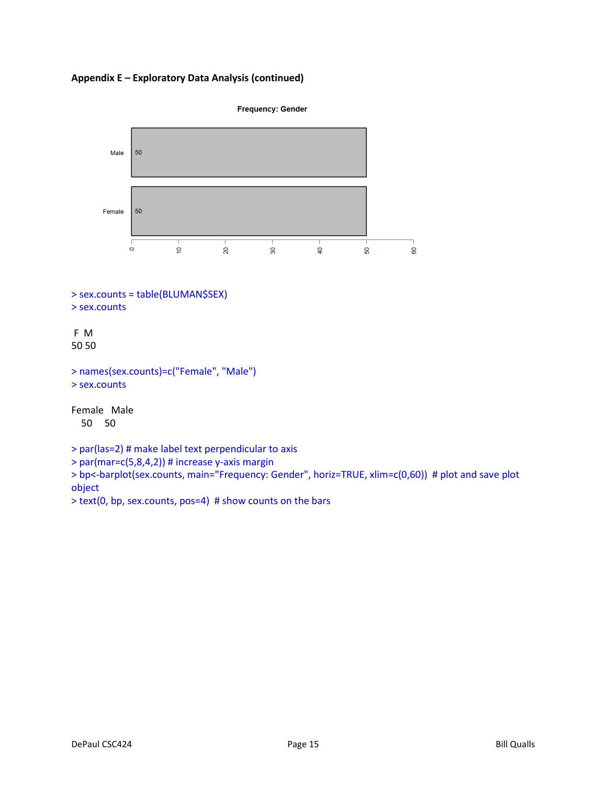



 $>$  par(mar=c(5,8,4,2)) # increase y-axis margin

> bp<-barplot(sex.counts, main="Frequency: Gender", horiz=TRUE, xlim=c(0,60)) # plot and save plot object

> text(0, bp, sex.counts, pos=4) # show counts on the bars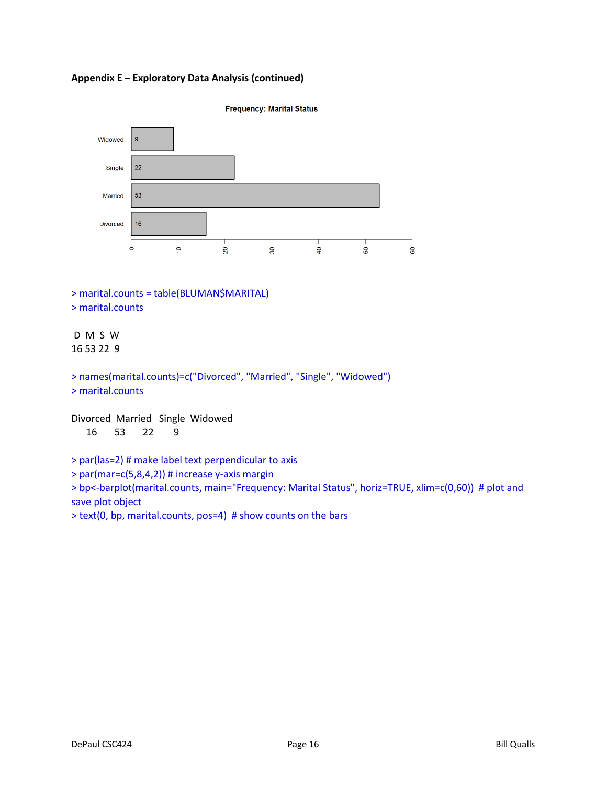**Appendix E – Exploratory Data Analysis (continued)** 



> marital.counts = table(BLUMAN\$MARITAL) > marital.counts

# D M S W 16 53 22 9

> names(marital.counts)=c("Divorced", "Married", "Single", "Widowed") > marital.counts

Divorced Married Single Widowed 16 53 22 9

> par(las=2) # make label text perpendicular to axis

> par(mar=c(5,8,4,2)) # increase y-axis margin

> bp<-barplot(marital.counts, main="Frequency: Marital Status", horiz=TRUE, xlim=c(0,60)) # plot and save plot object

> text(0, bp, marital.counts, pos=4) # show counts on the bars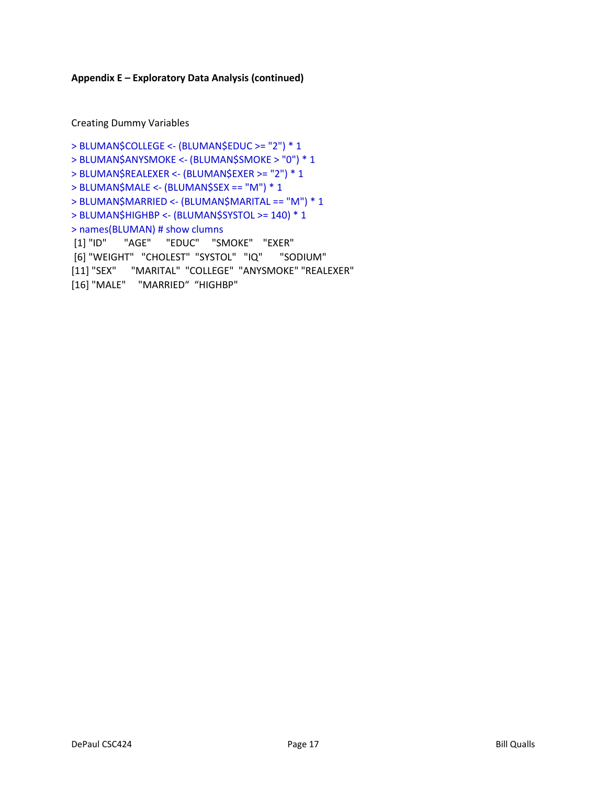Creating Dummy Variables

```
> BLUMAN$COLLEGE <- (BLUMAN$EDUC >= "2") * 1 
> BLUMAN$ANYSMOKE <- (BLUMAN$SMOKE > "0") * 1 
> BLUMAN$REALEXER <- (BLUMAN$EXER >= "2") * 1 
> BLUMAN$MALE <- (BLUMAN$SEX == "M") * 1 
> BLUMAN$MARRIED <- (BLUMAN$MARITAL == "M") * 1 
> BLUMAN$HIGHBP <- (BLUMAN$SYSTOL >= 140) * 1 
> names(BLUMAN) # show clumns 
 [1] "ID" "AGE" "EDUC" "SMOKE" "EXER" 
 [6] "WEIGHT" "CHOLEST" "SYSTOL" "IQ" "SODIUM" 
[11] "SEX" "MARITAL" "COLLEGE" "ANYSMOKE" "REALEXER" 
[16] "MALE" "MARRIED" "HIGHBP"
```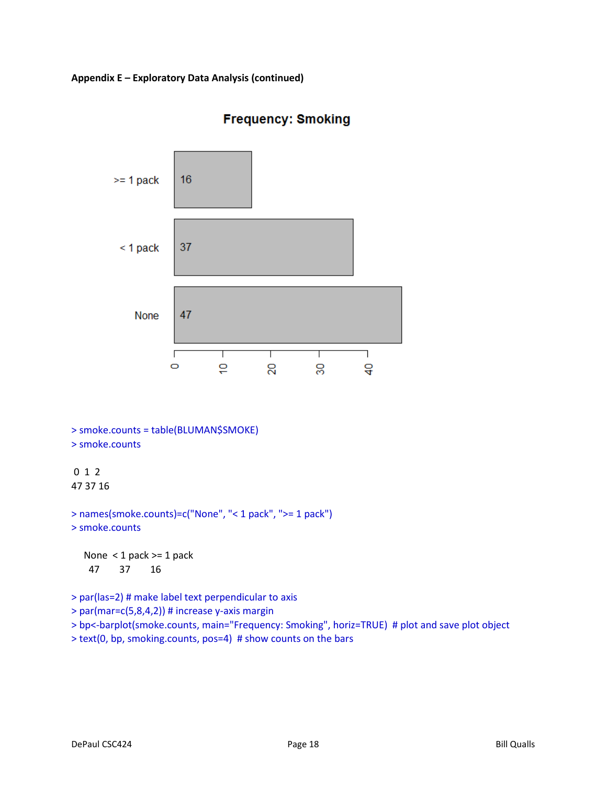

# **Frequency: Smoking**

```
> smoke.counts = table(BLUMAN$SMOKE) 
> smoke.counts
```
## 0 1 2 47 37 16

```
> names(smoke.counts)=c("None", "< 1 pack", ">= 1 pack") 
> smoke.counts
```
 None < 1 pack >= 1 pack 47 37 16

```
> par(las=2) # make label text perpendicular to axis
```

```
> par(mar=c(5,8,4,2)) # increase y-axis margin
```
> bp<-barplot(smoke.counts, main="Frequency: Smoking", horiz=TRUE) # plot and save plot object

> text(0, bp, smoking.counts, pos=4) # show counts on the bars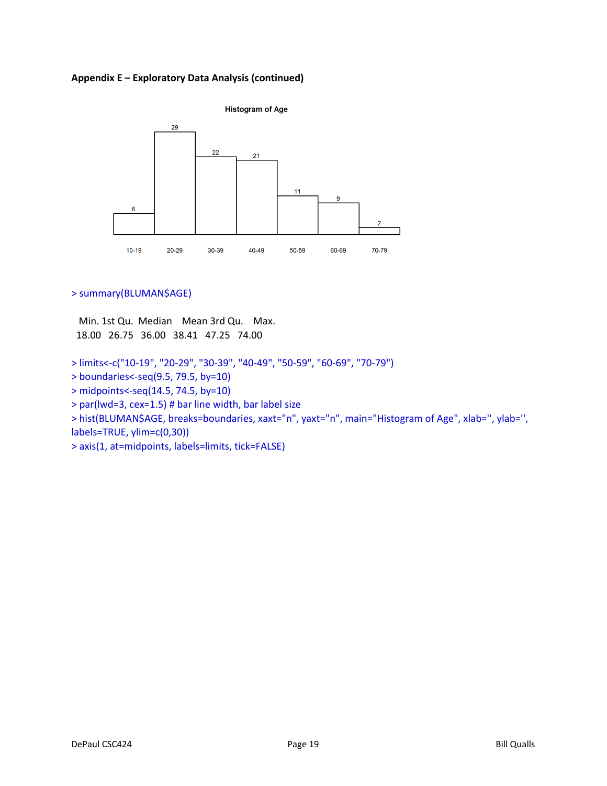

### > summary(BLUMAN\$AGE)

 Min. 1st Qu. Median Mean 3rd Qu. Max. 18.00 26.75 36.00 38.41 47.25 74.00

- > limits<-c("10-19", "20-29", "30-39", "40-49", "50-59", "60-69", "70-79")
- > boundaries<-seq(9.5, 79.5, by=10)
- > midpoints<-seq(14.5, 74.5, by=10)
- > par(lwd=3, cex=1.5) # bar line width, bar label size

> hist(BLUMAN\$AGE, breaks=boundaries, xaxt="n", yaxt="n", main="Histogram of Age", xlab='', ylab='', labels=TRUE, ylim=c(0,30))

> axis(1, at=midpoints, labels=limits, tick=FALSE)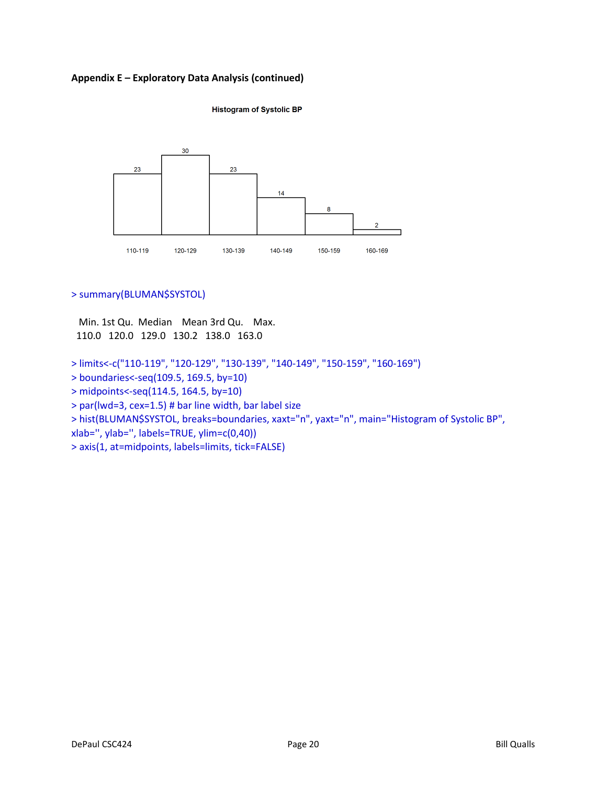**Histogram of Systolic BP** 



### > summary(BLUMAN\$SYSTOL)

 Min. 1st Qu. Median Mean 3rd Qu. Max. 110.0 120.0 129.0 130.2 138.0 163.0

- > limits<-c("110-119", "120-129", "130-139", "140-149", "150-159", "160-169")
- > boundaries<-seq(109.5, 169.5, by=10)
- > midpoints<-seq(114.5, 164.5, by=10)
- > par(lwd=3, cex=1.5) # bar line width, bar label size

> hist(BLUMAN\$SYSTOL, breaks=boundaries, xaxt="n", yaxt="n", main="Histogram of Systolic BP",

xlab='', ylab='', labels=TRUE, ylim=c(0,40))

> axis(1, at=midpoints, labels=limits, tick=FALSE)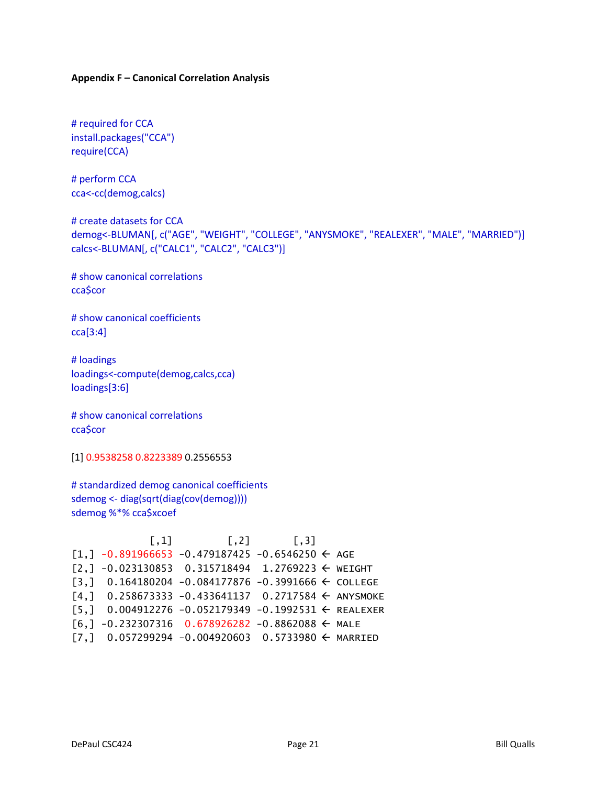#### **Appendix F – Canonical Correlation Analysis**

# required for CCA install.packages("CCA") require(CCA)

# perform CCA cca<-cc(demog,calcs)

# create datasets for CCA demog<-BLUMAN[, c("AGE", "WEIGHT", "COLLEGE", "ANYSMOKE", "REALEXER", "MALE", "MARRIED")] calcs<-BLUMAN[, c("CALC1", "CALC2", "CALC3")]

# show canonical correlations cca\$cor

# show canonical coefficients cca[3:4]

# loadings loadings<-compute(demog,calcs,cca) loadings[3:6]

# show canonical correlations cca\$cor

[1] 0.9538258 0.8223389 0.2556553

# standardized demog canonical coefficients sdemog <- diag(sqrt(diag(cov(demog)))) sdemog %\*% cca\$xcoef

 $[ ,1]$   $[ ,2]$   $[ ,3]$  $[1,] -0.891966653 -0.479187425 -0.6546250 \leftarrow AGE$  $[2,] -0.023130853 \quad 0.315718494 \quad 1.2769223 \leftarrow \text{WEIGHT}$  $[3,]$  0.164180204 -0.084177876 -0.3991666  $\leftarrow$  COLLEGE  $[4,]$  0.258673333 -0.433641137 0.2717584  $\leftarrow$  ANYSMOKE  $[5,]$  0.004912276 -0.052179349 -0.1992531  $\leftarrow$  REALEXER  $[6,] -0.232307316 \quad 0.678926282 \quad -0.8862088 \leftarrow \text{MALE}$  $[7,]$  0.057299294 -0.004920603 0.5733980  $\leftarrow$  MARRIED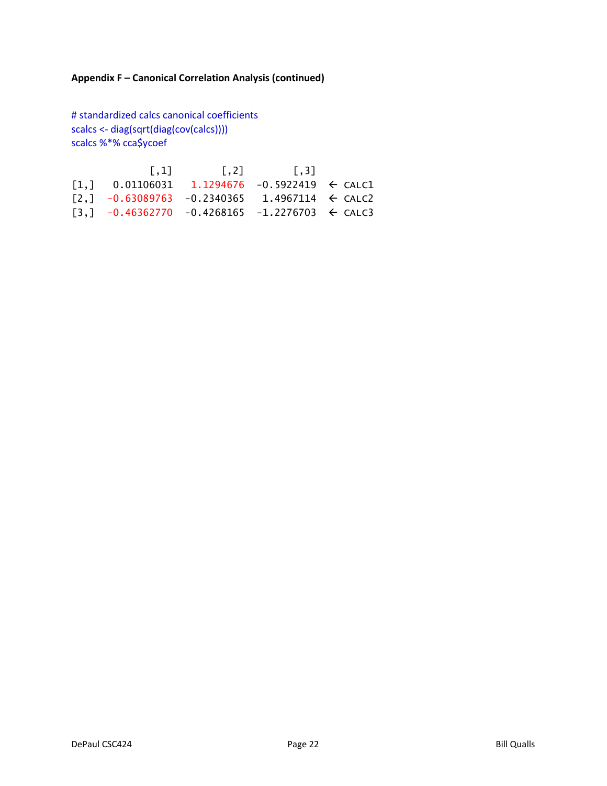# **Appendix F – Canonical Correlation Analysis (continued)**

# standardized calcs canonical coefficients scalcs <- diag(sqrt(diag(cov(calcs)))) scalcs %\*% cca\$ycoef

| $\left[ .1 \right]$                                                                                 | $\sqrt{2}$ | $\begin{bmatrix} 1 & 3 \end{bmatrix}$ |  |
|-----------------------------------------------------------------------------------------------------|------------|---------------------------------------|--|
| $\begin{bmatrix} 1.1 & 0.01106031 & 1.1294676 & -0.5922419 & \leftarrow \text{CALC1} \end{bmatrix}$ |            |                                       |  |
| $\lceil 2, \rceil$ -0.63089763 -0.2340365 1.4967114 $\leftarrow$ CALC2                              |            |                                       |  |
| $\lceil 3.1 \rceil$ -0.46362770 -0.4268165 -1.2276703 $\Leftarrow$ CALC3                            |            |                                       |  |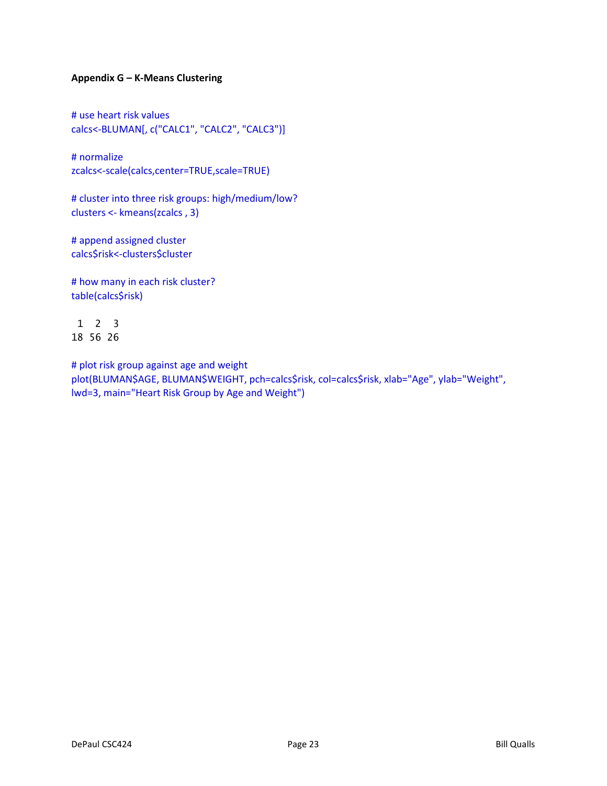### **Appendix G – K-Means Clustering**

# use heart risk values calcs<-BLUMAN[, c("CALC1", "CALC2", "CALC3")]

# normalize zcalcs<-scale(calcs,center=TRUE,scale=TRUE)

# cluster into three risk groups: high/medium/low? clusters <- kmeans(zcalcs , 3)

# append assigned cluster calcs\$risk<-clusters\$cluster

# how many in each risk cluster? table(calcs\$risk)

 1 2 3 18 56 26

# plot risk group against age and weight plot(BLUMAN\$AGE, BLUMAN\$WEIGHT, pch=calcs\$risk, col=calcs\$risk, xlab="Age", ylab="Weight", lwd=3, main="Heart Risk Group by Age and Weight")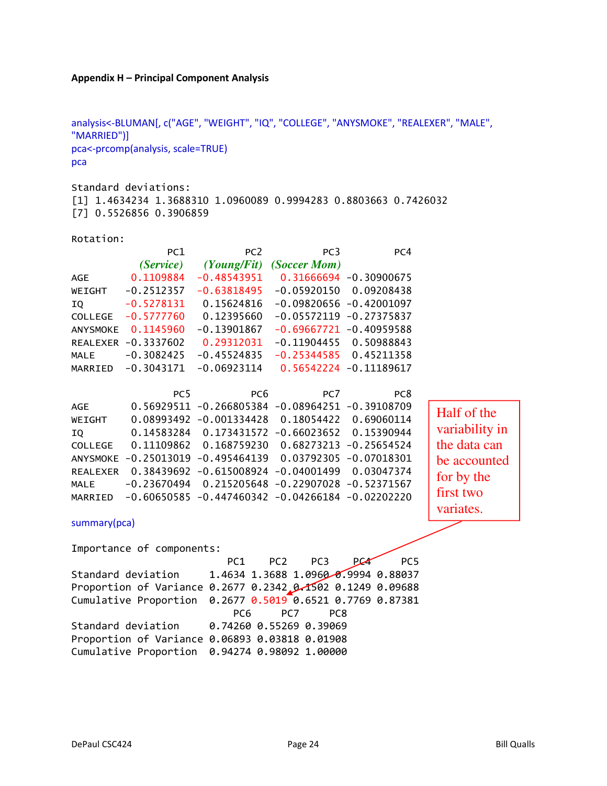#### **Appendix H – Principal Component Analysis**

analysis<-BLUMAN[, c("AGE", "WEIGHT", "IQ", "COLLEGE", "ANYSMOKE", "REALEXER", "MALE", "MARRIED")] pca<-prcomp(analysis, scale=TRUE) pca

Standard deviations: [1] 1.4634234 1.3688310 1.0960089 0.9994283 0.8803663 0.7426032 [7] 0.5526856 0.3906859

Rotation:

|                 | PC1                            | PC <sub>2</sub>                                  | PC <sub>3</sub>                          | PC4                        |  |
|-----------------|--------------------------------|--------------------------------------------------|------------------------------------------|----------------------------|--|
|                 |                                | (Service) (Young/Fit)                            | (Soccer Mom)                             |                            |  |
| AGE             | 0.1109884                      |                                                  | $-0.48543951$ $0.31666694$ $-0.30900675$ |                            |  |
| WEIGHT          | $-0.2512357$                   | $-0.63818495$                                    |                                          | $-0.05920150$ $0.09208438$ |  |
| ΙQ              | $-0.5278131$                   | 0.15624816                                       |                                          | $-0.09820656 - 0.42001097$ |  |
| <b>COLLEGE</b>  | $-0.5777760$                   | 0.12395660                                       | $-0.05572119$                            | $-0.27375837$              |  |
| <b>ANYSMOKE</b> | 0.1145960                      | $-0.13901867$                                    | $-0.69667721$                            | $-0.40959588$              |  |
|                 | REALEXER -0.3337602 0.29312031 |                                                  | $-0.11904455$ 0.50988843                 |                            |  |
| MALE            | $-0.3082425$                   | $-0.45524835$                                    | $-0.25344585$ 0.45211358                 |                            |  |
| MARRIED         | $-0.3043171$                   |                                                  | $-0.06923114$ $0.56542224$ $-0.11189617$ |                            |  |
|                 |                                |                                                  |                                          |                            |  |
|                 | PC <sub>5</sub>                | PC <sub>6</sub>                                  | PC7                                      | PC <sub>8</sub>            |  |
| <b>AGE</b>      |                                | 0.56929511 -0.266805384 -0.08964251 -0.39108709  |                                          |                            |  |
| WEIGHT          | 0.08993492                     | $-0.001334428$ $0.18054422$ 0.69060114           |                                          |                            |  |
| IQ              | 0.14583284                     | 0.173431572 -0.66023652 0.15390944               |                                          |                            |  |
| COLLEGE         |                                | 0.11109862  0.168759230  0.68273213  -0.25654524 |                                          |                            |  |
| <b>ANYSMOKE</b> | $-0.25013019$                  | $-0.495464139$                                   |                                          | 0.03792305 -0.07018301     |  |
| <b>REALEXER</b> | 0.38439692                     | $-0.615008924 -0.04001499$                       |                                          | 0.03047374                 |  |
| <b>MALE</b>     | $-0.23670494$                  | 0.215205648 -0.22907028 -0.52371567              |                                          |                            |  |

Half of the variability in the data can be accounted for by the first two variates.

summary(pca)

Importance of components: PC1 PC2 PC3 PC4 PC5 Standard deviation 1.4634 1.3688 1.0960 0.9994 0.88037 Proportion of Variance 0.2677 0.2342 0.1502 0.1249 0.09688 Cumulative Proportion 0.2677 0.5019 0.6521 0.7769 0.87381 PC6 PC7 PC8 Standard deviation 0.74260 0.55269 0.39069 Proportion of Variance 0.06893 0.03818 0.01908 Cumulative Proportion 0.94274 0.98092 1.00000

MARRIED -0.60650585 -0.447460342 -0.04266184 -0.02202220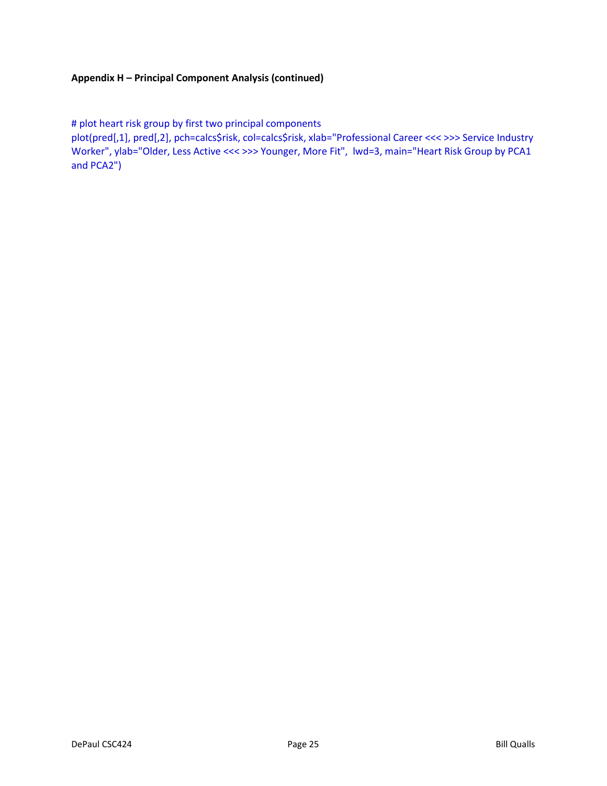### **Appendix H – Principal Component Analysis (continued)**

# plot heart risk group by first two principal components

plot(pred[,1], pred[,2], pch=calcs\$risk, col=calcs\$risk, xlab="Professional Career <<< >>> Service Industry Worker", ylab="Older, Less Active <<< >>> Younger, More Fit", lwd=3, main="Heart Risk Group by PCA1 and PCA2")